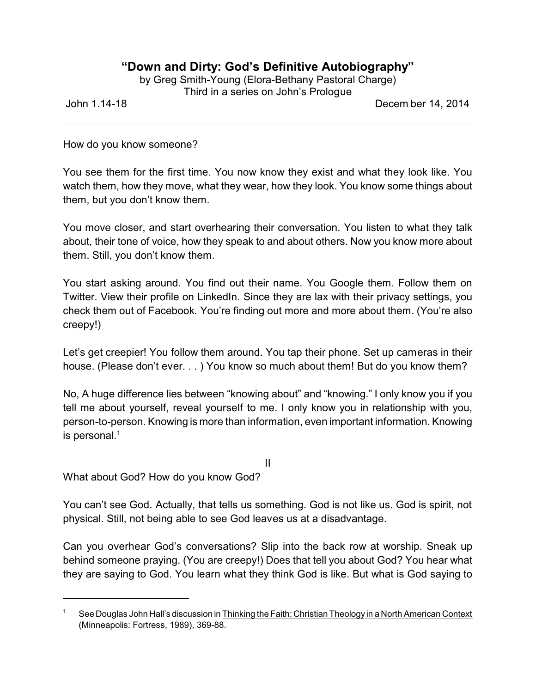## **"Down and Dirty: God's Definitive Autobiography"**

by Greg Smith-Young (Elora-Bethany Pastoral Charge) Third in a series on John's Prologue

John 1.14-18 Decem ber 14, 2014

How do you know someone?

You see them for the first time. You now know they exist and what they look like. You watch them, how they move, what they wear, how they look. You know some things about them, but you don't know them.

You move closer, and start overhearing their conversation. You listen to what they talk about, their tone of voice, how they speak to and about others. Now you know more about them. Still, you don't know them.

You start asking around. You find out their name. You Google them. Follow them on Twitter. View their profile on LinkedIn. Since they are lax with their privacy settings, you check them out of Facebook. You're finding out more and more about them. (You're also creepy!)

Let's get creepier! You follow them around. You tap their phone. Set up cameras in their house. (Please don't ever. . . ) You know so much about them! But do you know them?

No, A huge difference lies between "knowing about" and "knowing." I only know you if you tell me about yourself, reveal yourself to me. I only know you in relationship with you, person-to-person. Knowing is more than information, even important information. Knowing is personal. $1$ 

II

What about God? How do you know God?

You can't see God. Actually, that tells us something. God is not like us. God is spirit, not physical. Still, not being able to see God leaves us at a disadvantage.

Can you overhear God's conversations? Slip into the back row at worship. Sneak up behind someone praying. (You are creepy!) Does that tell you about God? You hear what they are saying to God. You learn what they think God is like. But what is God saying to

See Douglas John Hall's discussion in Thinking the Faith: Christian Theology in a North American Context (Minneapolis: Fortress, 1989), 369-88.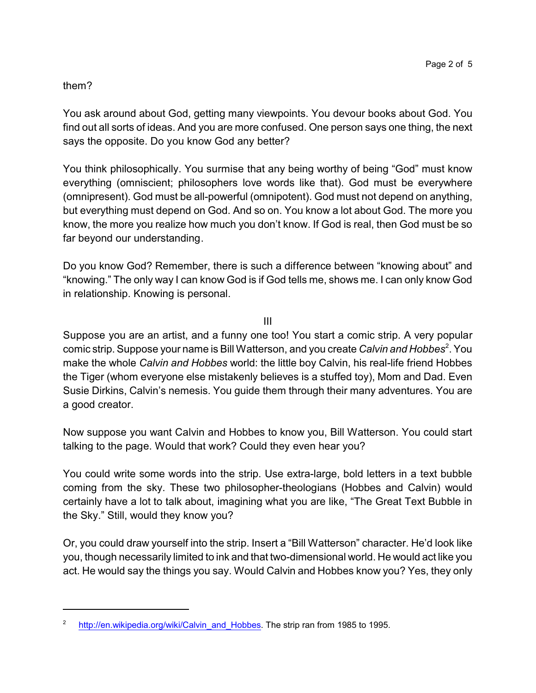## them?

You ask around about God, getting many viewpoints. You devour books about God. You find out all sorts of ideas. And you are more confused. One person says one thing, the next says the opposite. Do you know God any better?

You think philosophically. You surmise that any being worthy of being "God" must know everything (omniscient; philosophers love words like that). God must be everywhere (omnipresent). God must be all-powerful (omnipotent). God must not depend on anything, but everything must depend on God. And so on. You know a lot about God. The more you know, the more you realize how much you don't know. If God is real, then God must be so far beyond our understanding.

Do you know God? Remember, there is such a difference between "knowing about" and "knowing." The only way I can know God is if God tells me, shows me. I can only know God in relationship. Knowing is personal.

III

Suppose you are an artist, and a funny one too! You start a comic strip. A very popular comic strip. Suppose your name is Bill Watterson, and you create *Calvin and Hobbes*<sup>2</sup>. You make the whole *Calvin and Hobbes* world: the little boy Calvin, his real-life friend Hobbes the Tiger (whom everyone else mistakenly believes is a stuffed toy), Mom and Dad. Even Susie Dirkins, Calvin's nemesis. You guide them through their many adventures. You are a good creator.

Now suppose you want Calvin and Hobbes to know you, Bill Watterson. You could start talking to the page. Would that work? Could they even hear you?

You could write some words into the strip. Use extra-large, bold letters in a text bubble coming from the sky. These two philosopher-theologians (Hobbes and Calvin) would certainly have a lot to talk about, imagining what you are like, "The Great Text Bubble in the Sky." Still, would they know you?

Or, you could draw yourself into the strip. Insert a "Bill Watterson" character. He'd look like you, though necessarily limited to ink and that two-dimensional world. He would act like you act. He would say the things you say. Would Calvin and Hobbes know you? Yes, they only

<sup>2</sup> [http://en.wikipedia.org/wiki/Calvin\\_and\\_Hobbes](http://en.wikipedia.org/wiki/Calvin_and_Hobbes). The strip ran from 1985 to 1995.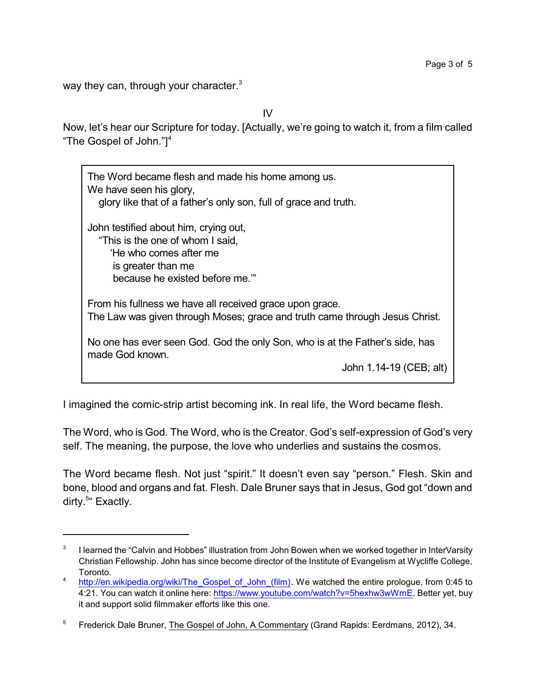way they can, through your character.<sup>3</sup>

IV

Now, let's hear our Scripture for today. [Actually, we're going to watch it, from a film called "The Gospel of John."]<sup>4</sup>

The Word became flesh and made his home among us. We have seen his glory, glory like that of a father's only son, full of grace and truth. John testified about him, crying out, "This is the one of whom I said, 'He who comes after me is greater than me because he existed before me.'" From his fullness we have all received grace upon grace. The Law was given through Moses; grace and truth came through Jesus Christ. No one has ever seen God. God the only Son, who is at the Father's side, has made God known. John 1.14-19 (CEB; alt)

I imagined the comic-strip artist becoming ink. In real life, the Word became flesh.

The Word, who is God. The Word, who is the Creator. God's self-expression of God's very self. The meaning, the purpose, the love who underlies and sustains the cosmos.

The Word became flesh. Not just "spirit." It doesn't even say "person." Flesh. Skin and bone, blood and organs and fat. Flesh. Dale Bruner says that in Jesus, God got "down and dirty.<sup>5"</sup> Exactly.

<sup>3</sup> I learned the "Calvin and Hobbes" illustration from John Bowen when we worked together in InterVarsity Christian Fellowship. John has since become director of the Institute of Evangelism at Wycliffe College, Toronto.

<sup>4</sup> [http://en.wikipedia.org/wiki/The\\_Gospel\\_of\\_John\\_\(film\)](http://en.wikipedia.org/wiki/The_Gospel_of_John_(film)). We watched the entire prologue, from 0:45 to 4:21. You can watch it online here:<https://www.youtube.com/watch?v=5hexhw3wWmE>. Better yet, buy it and support solid filmmaker efforts like this one.

<sup>&</sup>lt;sup>5</sup> Frederick Dale Bruner, The Gospel of John, A Commentary (Grand Rapids: Eerdmans, 2012), 34.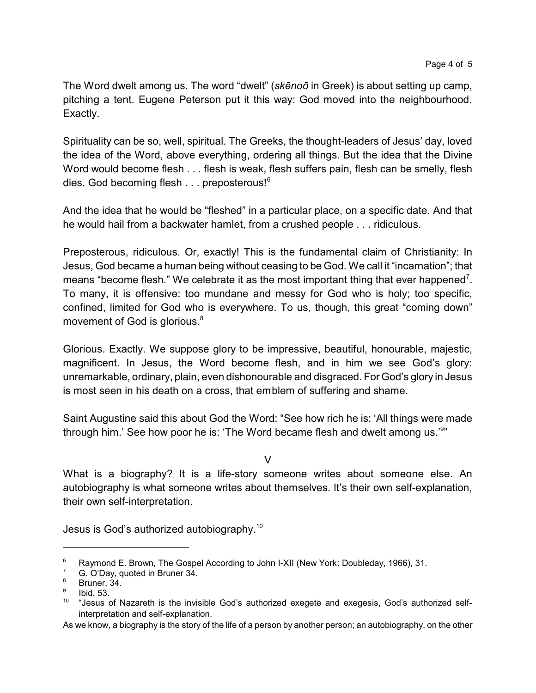The Word dwelt among us. The word "dwelt" (*skçnoô* in Greek) is about setting up camp, pitching a tent. Eugene Peterson put it this way: God moved into the neighbourhood. Exactly.

Spirituality can be so, well, spiritual. The Greeks, the thought-leaders of Jesus' day, loved the idea of the Word, above everything, ordering all things. But the idea that the Divine Word would become flesh . . . flesh is weak, flesh suffers pain, flesh can be smelly, flesh dies. God becoming flesh . . . preposterous!<sup>6</sup>

And the idea that he would be "fleshed" in a particular place, on a specific date. And that he would hail from a backwater hamlet, from a crushed people . . . ridiculous.

Preposterous, ridiculous. Or, exactly! This is the fundamental claim of Christianity: In Jesus, God became a human being without ceasing to be God. We call it "incarnation"; that means "become flesh." We celebrate it as the most important thing that ever happened<sup>7</sup>. To many, it is offensive: too mundane and messy for God who is holy; too specific, confined, limited for God who is everywhere. To us, though, this great "coming down" movement of God is glorious.<sup>8</sup>

Glorious. Exactly. We suppose glory to be impressive, beautiful, honourable, majestic, magnificent. In Jesus, the Word become flesh, and in him we see God's glory: unremarkable, ordinary, plain, even dishonourable and disgraced. For God's glory in Jesus is most seen in his death on a cross, that emblem of suffering and shame.

Saint Augustine said this about God the Word: "See how rich he is: 'All things were made through him.' See how poor he is: 'The Word became flesh and dwelt among us.'<sup>9</sup>"

 $\overline{V}$ 

What is a biography? It is a life-story someone writes about someone else. An autobiography is what someone writes about themselves. It's their own self-explanation, their own self-interpretation.

Jesus is God's authorized autobiography. $^{\mathsf{10}}$ 

<sup>&</sup>lt;sup>6</sup> Raymond E. Brown, The Gospel According to John  $\frac{|X|}{|X|}$  (New York: Doubleday, 1966), 31.

 $7^7$  G. O'Day, quoted in Bruner 34.

Bruner, 34.

<sup>9</sup> Ibid, 53.

<sup>&</sup>lt;sup>10</sup> "Jesus of Nazareth is the invisible God's authorized exegete and exegesis, God's authorized selfinterpretation and self-explanation.

As we know, a biography is the story of the life of a person by another person; an autobiography, on the other